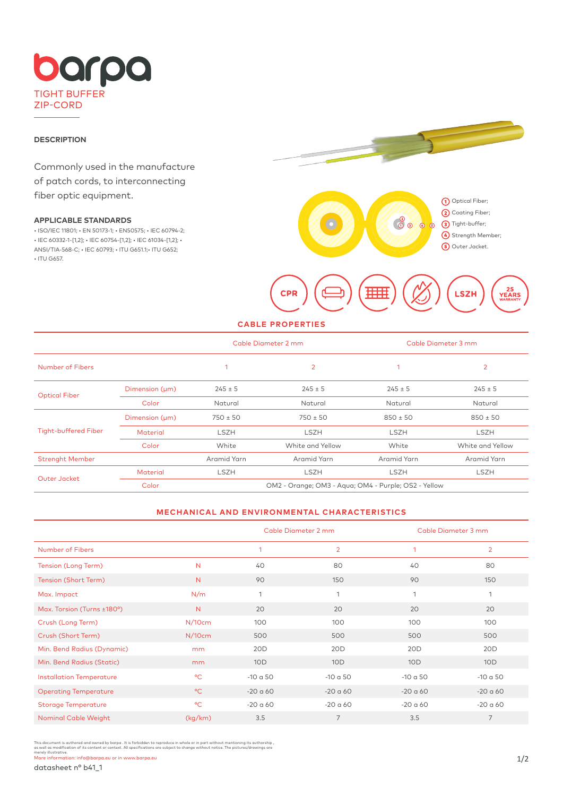

# **DESCRIPTION**

Commonly used in the manufacture of patch cords, to interconnecting fiber optic equipment.

#### **APPLICABLE STANDARDS**

• ISO/IEC 11801; • EN 50173-1; • EN50575; • IEC 60794-2; • IEC 60332-1-[1,2]; • IEC 60754-[1,2]; • IEC 61034-[1,2]; • ANSI/TIA-568-C; • IEC 60793; • ITU G651.1;• ITU G652; • ITU G657.





## **CABLE PROPERTIES**

|                        |                 | Cable Diameter 2 mm                                  |                  | Cable Diameter 3 mm |                  |
|------------------------|-----------------|------------------------------------------------------|------------------|---------------------|------------------|
| Number of Fibers       |                 |                                                      | 2                |                     | $\overline{2}$   |
| <b>Optical Fiber</b>   | Dimension (µm)  | $245 \pm 5$                                          | $245 \pm 5$      | $245 \pm 5$         | $245 \pm 5$      |
|                        | Color           | Natural                                              | Natural          | Natural             | Natural          |
| Tight-buffered Fiber   | Dimension (µm)  | $750 \pm 50$                                         | $750 \pm 50$     | $850 \pm 50$        | $850 \pm 50$     |
|                        | <b>Material</b> | <b>LSZH</b>                                          | <b>LSZH</b>      | LSZH                | <b>LSZH</b>      |
|                        | Color           | White                                                | White and Yellow | White               | White and Yellow |
| <b>Strenght Member</b> |                 | Aramid Yarn                                          | Aramid Yarn      | Aramid Yarn         | Aramid Yarn      |
| Outer Jacket           | <b>Material</b> | <b>LSZH</b>                                          | <b>LSZH</b>      | LSZH                | <b>LSZH</b>      |
|                        | Color           | OM2 - Orange; OM3 - Agua; OM4 - Purple; OS2 - Yellow |                  |                     |                  |

### **MECHANICAL AND ENVIRONMENTAL CHARACTERISTICS**

|                                 |                 | Cable Diameter 2 mm |                 | Cable Diameter 3 mm |                 |
|---------------------------------|-----------------|---------------------|-----------------|---------------------|-----------------|
| Number of Fibers                |                 | $\overline{1}$      | $\overline{2}$  | 1                   | $\overline{2}$  |
| Tension (Long Term)             | N               | 40                  | 80              | 40                  | 80              |
| Tension (Short Term)            | N.              | 90                  | 150             | 90                  | 150             |
| Max. Impact                     | N/m             | 1                   | 1               | 1                   | 1               |
| Max. Torsion (Turns ±180°)      | N.              | 20                  | 20              | 20                  | 20              |
| Crush (Long Term)               | N/10cm          | 100                 | 100             | 100                 | 100             |
| Crush (Short Term)              | N/10cm          | 500                 | 500             | 500                 | 500             |
| Min. Bend Radius (Dynamic)      | mm              | 20 <sub>D</sub>     | 20 <sub>D</sub> | 20 <sub>D</sub>     | 20 <sub>D</sub> |
| Min. Bend Radius (Static)       | mm              | 10D                 | 10D             | 10D                 | 10D             |
| <b>Installation Temperature</b> | $^{\circ}$ C    | $-10a50$            | $-10a50$        | $-10a50$            | $-10a50$        |
| <b>Operating Temperature</b>    | $^{\circ}$ C    | $-20a60$            | $-20a60$        | $-20a60$            | $-20a60$        |
| <b>Storage Temperature</b>      | $\rm ^{\circ}C$ | $-20a60$            | $-20a60$        | $-20a60$            | $-20a60$        |
| <b>Nominal Cable Weight</b>     | (kq/km)         | 3.5                 | 7               | 3.5                 | 7               |

This document is authored and owned by barpa . It is forbidden to reproduce in whole or in part without mentioning its authorship ,<br>as well as modification of its content or context. All specifications are subject to chang